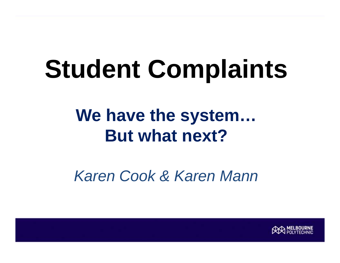# **Student Complaints**

#### **We have the system… But what next?**

*Karen Cook & Karen Mann*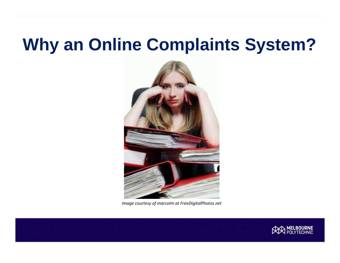#### **Why an Online Complaints System?**



*Image courtesy of marcolm at FreeDigitalPhotos.net*

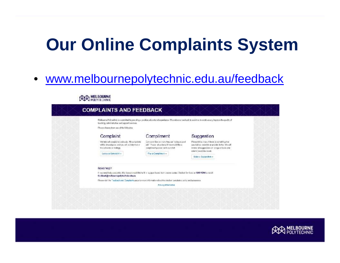#### **Our Online Complaints System**

#### • www.melbournepolytechnic.edu.au/feedback

| Malacuma Pelynehvic is committed to providing a position of cartier of experience. We welcome it addeds to assist as to confine system the quality of<br>teaching, administrative and support services. |                                                                                                                                                         |                                                                                                                                                                                                 |
|---------------------------------------------------------------------------------------------------------------------------------------------------------------------------------------------------------|---------------------------------------------------------------------------------------------------------------------------------------------------------|-------------------------------------------------------------------------------------------------------------------------------------------------------------------------------------------------|
| Please choose from one of the following:                                                                                                                                                                |                                                                                                                                                         |                                                                                                                                                                                                 |
| Complaint                                                                                                                                                                                               | Compliment                                                                                                                                              | Suggestion                                                                                                                                                                                      |
| We take all complaints seriously. All complaints<br>will be investigated and you will be informed of<br>the cutoann or midings.<br>Locco a Comsici v +                                                  | Everyone Steelse is took they are "colleg a good<br>jeb" Pooce at up brow it you were the a<br>compliment possess in the cur-clatt.<br>Para Compines: » | Please let us know if there is something that<br>you led we beaid do or provide lietter. Wo will<br>the also fit upper is a company of worker<br>intern vos et the recet.<br>Make c Eucgeston » |
| Need help?                                                                                                                                                                                              |                                                                                                                                                         |                                                                                                                                                                                                 |
| If you need holp concreting this loan or would like to till in a paper based form pieces contact Christian Strates on 9269 1314 or entail.<br>feedback@mclbournepolytechnic edu.au                      |                                                                                                                                                         |                                                                                                                                                                                                 |
| Please visit the Fasdasck and Conspirats pace tor more information about the student pemplaints policy and arocesses.                                                                                   |                                                                                                                                                         |                                                                                                                                                                                                 |
|                                                                                                                                                                                                         | Fifthing Information                                                                                                                                    |                                                                                                                                                                                                 |

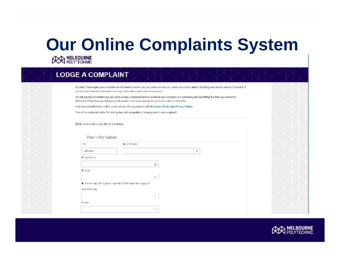## **Our Online Complaints System**

#### **LODGE A COMPLAINT**

In order to Indestrigate your complaint we will need to contact you, so passe provide your name and contact details including one contact number if possible. If you do not provide this information we may not be able to deal with the complaint.

We will use the information you provide to assess, investigate and/or conditate your complaint, by completing and submitting this form you consent to Nelhourns Palytechnic providing your information to the most appropriate person to address the motor

Your possonal information will be used and stored in accordance with Melbourne Palytechnic Privacy Politics.

You will be confacted within 10 working deys with an update of the progress of your complaint.

#### Fields marked with a star (\*) are mandatory

| Litle                | 青 Hard Nomic                                                  |                |  |
|----------------------|---------------------------------------------------------------|----------------|--|
| $-80105 -$           |                                                               | $\overline{a}$ |  |
| <b>A</b> Lock North: |                                                               |                |  |
|                      | 盖                                                             |                |  |
| <b>A</b> Erral       |                                                               |                |  |
|                      | $\mathbb{G}$                                                  |                |  |
|                      | the et least one of the phone number fields must be rupplied. |                |  |
| Mobile Phane         |                                                               |                |  |
|                      | $\frac{1}{\sqrt{2}}$                                          |                |  |
| Anada                |                                                               |                |  |
|                      | $\tau_{\rm m}$                                                |                |  |

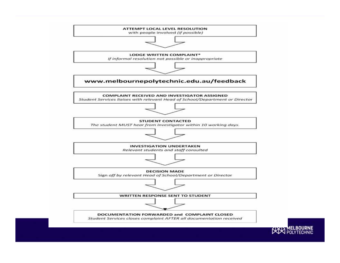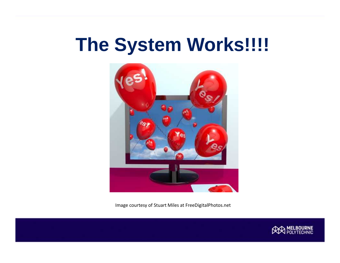#### **The System Works!!!!**



Image courtesy of Stuart Miles at FreeDigitalPhotos.net

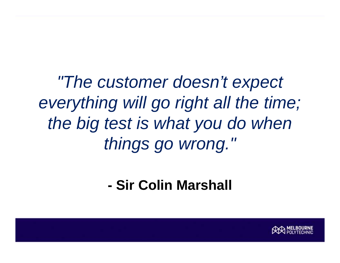*"The customer doesn't expect everything will go right all the time; the big test is what you do when things go wrong."*

**- Sir Colin Marshall**

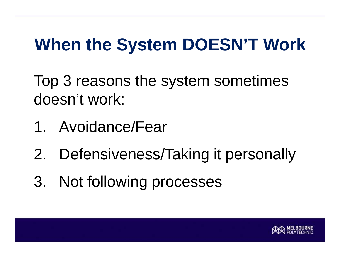#### **When the System DOESN'T Work**

Top 3 reasons the system sometimes doesn't work:

- 1. Avoidance/Fear
- 2. Defensiveness/Taking it personally
- 3. Not following processes

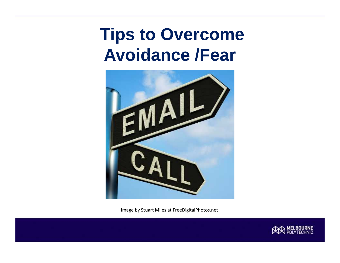#### **Tips to Overcome Avoidance /Fear**



Image by Stuart Miles at FreeDigitalPhotos.net

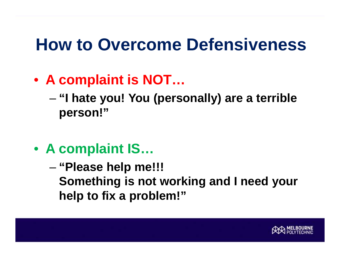#### **How to Overcome Defensiveness**

- **A complaint is NOT…**
	- **"I hate you! You (personally) are a terrible person!"**
- **A complaint IS…**

– **"Please help me!!! Something is not working and I need your help to fix a problem!"**

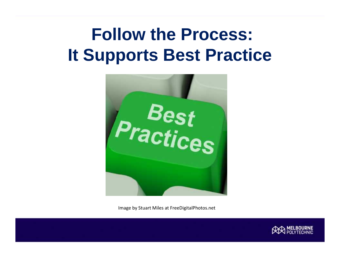#### **Follow the Process: It Supports Best Practice**



Image by Stuart Miles at FreeDigitalPhotos.net

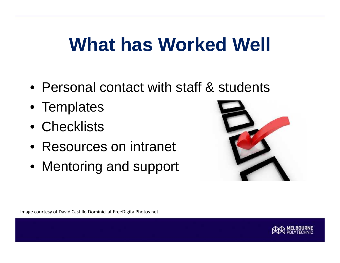### **What has Worked Well**

- Personal contact with staff & students
- Templates
- Checklists
- Resources on intranet
- Mentoring and support



Image courtesy of David Castillo Dominici at FreeDigitalPhotos.net

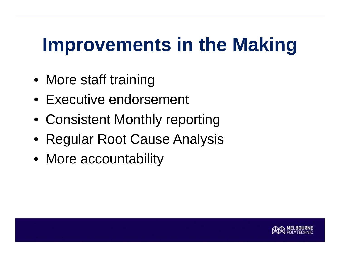## **Improvements in the Making**

- More staff training
- Executive endorsement
- Consistent Monthly reporting
- Regular Root Cause Analysis
- More accountability

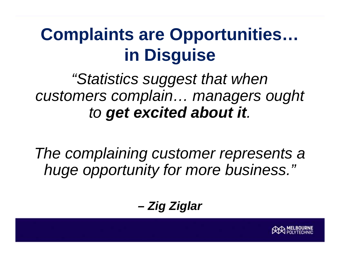#### **Complaints are Opportunities… in Disguise**

#### *"Statistics suggest that when customers complain… managers ought to get excited about it.*

*The complaining customer represents a huge opportunity for more business."*

*– Zig Ziglar*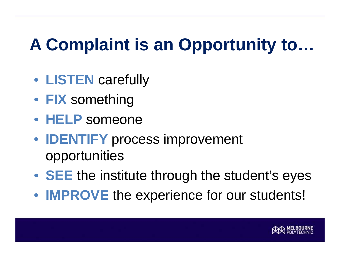### **A Complaint is an Opportunity to…**

- **LISTEN** carefully
- **FIX** something
- **HELP** someone
- **IDENTIFY** process improvement opportunities
- **SEE** the institute through the student's eyes
- **IMPROVE** the experience for our students!